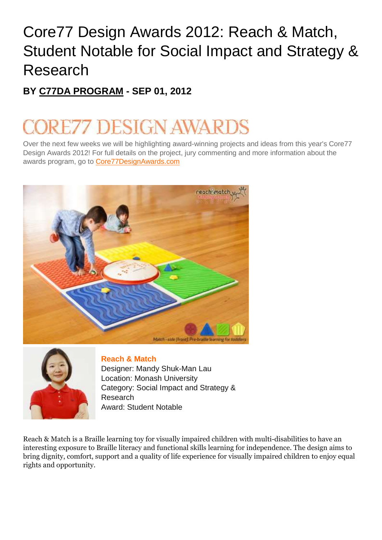## Core77 Design Awards 2012: Reach & Match, Student Notable for Social Impact and Strategy & Research

## **BY [C77DA PROGRAM](http://codex.core77.com/users/C77DA) - SEP 01, 2012**

## DESIGN AWAR

Over the next few weeks we will be highlighting award-winning projects and ideas from this year's Core77 Design Awards 2012! For full details on the project, jury commenting and more information about the awards program, go to [Core77DesignAwards.com](http://www.core77designawards.com/)





## **[Reach](http://www.core77designawards.com/2012/recipients/reach-match/) & Match**

Designer: Mandy Shuk-Man Lau Location: Monash University Category: Social Impact and Strategy & Research Award: Student Notable

Reach & Match is a Braille learning toy for visually impaired children with multi-disabilities to have an interesting exposure to Braille literacy and functional skills learning for independence. The design aims to bring dignity, comfort, support and a quality of life experience for visually impaired children to enjoy equal rights and opportunity.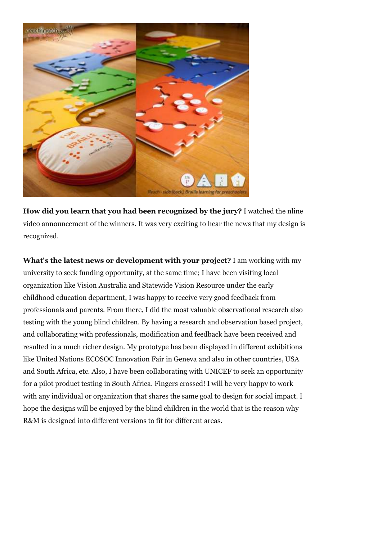

**How did you learn that you had been recognized by the jury?** I watched the nline video announcement of the winners. It was very exciting to hear the news that my design is recognized.

**What's the latest news or development with your project?** I am working with my university to seek funding opportunity, at the same time; I have been visiting local organization like Vision Australia and Statewide Vision Resource under the early childhood education department, I was happy to receive very good feedback from professionals and parents. From there, I did the most valuable observational research also testing with the young blind children. By having a research and observation based project, and collaborating with professionals, modification and feedback have been received and resulted in a much richer design. My prototype has been displayed in different exhibitions like United Nations ECOSOC Innovation Fair in Geneva and also in other countries, USA and South Africa, etc. Also, I have been collaborating with UNICEF to seek an opportunity for a pilot product testing in South Africa. Fingers crossed! I will be very happy to work with any individual or organization that shares the same goal to design for social impact. I hope the designs will be enjoyed by the blind children in the world that is the reason why R&M is designed into different versions to fit for different areas.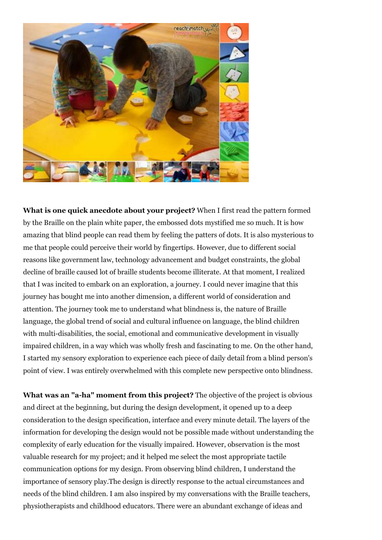

**What is one quick anecdote about your project?** When I first read the pattern formed by the Braille on the plain white paper, the embossed dots mystified me so much. It is how amazing that blind people can read them by feeling the patters of dots. It is also mysterious to me that people could perceive their world by fingertips. However, due to different social reasons like government law, technology advancement and budget constraints, the global decline of braille caused lot of braille students become illiterate. At that moment, I realized that I was incited to embark on an exploration, a journey. I could never imagine that this journey has bought me into another dimension, a different world of consideration and attention. The journey took me to understand what blindness is, the nature of Braille language, the global trend of social and cultural influence on language, the blind children with multi-disabilities, the social, emotional and communicative development in visually impaired children, in a way which was wholly fresh and fascinating to me. On the other hand, I started my sensory exploration to experience each piece of daily detail from a blind person's point of view. I was entirely overwhelmed with this complete new perspective onto blindness.

**What was an "a-ha" moment from this project?** The objective of the project is obvious and direct at the beginning, but during the design development, it opened up to a deep consideration to the design specification, interface and every minute detail. The layers of the information for developing the design would not be possible made without understanding the complexity of early education for the visually impaired. However, observation is the most valuable research for my project; and it helped me select the most appropriate tactile communication options for my design. From observing blind children, I understand the importance of sensory play.The design is directly response to the actual circumstances and needs of the blind children. I am also inspired by my conversations with the Braille teachers, physiotherapists and childhood educators. There were an abundant exchange of ideas and